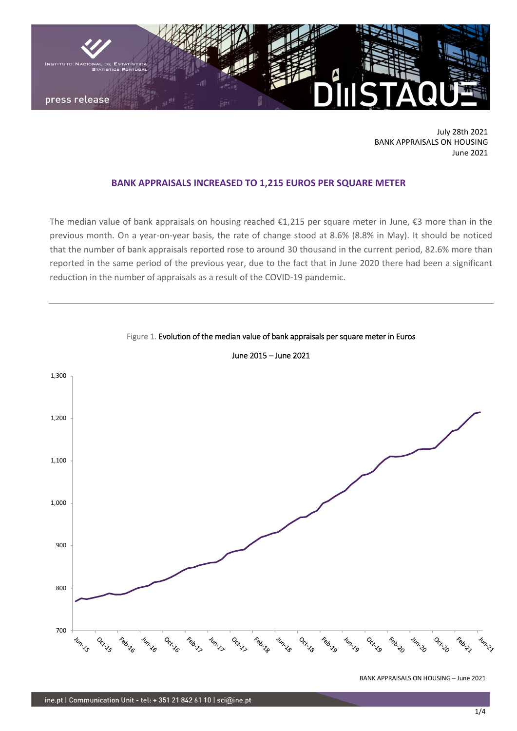

July 28th 2021 BANK APPRAISALS ON HOUSING June 2021

# **BANK APPRAISALS INCREASED TO 1,215 EUROS PER SQUARE METER**

The median value of bank appraisals on housing reached €1,215 per square meter in June, €3 more than in the previous month. On a year-on-year basis, the rate of change stood at 8.6% (8.8% in May). It should be noticed that the number of bank appraisals reported rose to around 30 thousand in the current period, 82.6% more than reported in the same period of the previous year, due to the fact that in June 2020 there had been a significant reduction in the number of appraisals as a result of the COVID-19 pandemic.



Figure 1. Evolution of the median value of bank appraisals per square meter in Euros

June 2015 – June 2021

BANK APPRAISALS ON HOUSING – June 2021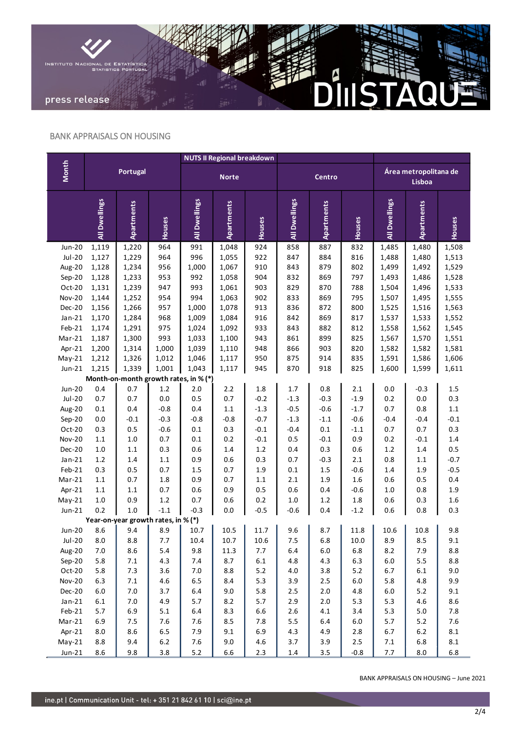

### BANK APPRAISALS ON HOUSING

|                                       | Portugal           |                                     |            | <b>NUTS II Regional breakdown</b> |                |                   |               |               |                |                                 |               |                |
|---------------------------------------|--------------------|-------------------------------------|------------|-----------------------------------|----------------|-------------------|---------------|---------------|----------------|---------------------------------|---------------|----------------|
| <b>Month</b>                          |                    |                                     |            | <b>Norte</b>                      |                |                   | Centro        |               |                | Área metropolitana de<br>Lisboa |               |                |
|                                       | All Dwellings      | <b>Apartments</b>                   | Houses     | All Dwellings                     | Apartments     | Houses            | All Dwellings | Apartments    | Houses         | All Dwellings                   | Apartments    | Houses         |
| <b>Jun-20</b>                         | 1,119              | 1,220                               | 964        | 991                               | 1,048          | 924               | 858           | 887           | 832            | 1,485                           | 1,480         | 1,508          |
| $Jul-20$                              | 1,127              | 1,229                               | 964        | 996                               | 1,055          | 922               | 847           | 884           | 816            | 1,488                           | 1,480         | 1,513          |
| Aug-20                                | 1,128              | 1,234                               | 956        | 1,000                             | 1,067          | 910               | 843           | 879           | 802            | 1,499                           | 1,492         | 1,529          |
| $Sep-20$                              | 1,128              | 1,233                               | 953        | 992                               | 1,058          | 904               | 832           | 869           | 797            | 1,493                           | 1,486         | 1,528          |
| Oct-20                                | 1,131              | 1,239                               | 947        | 993                               | 1,061          | 903               | 829           | 870           | 788            | 1,504                           | 1,496         | 1,533          |
| <b>Nov-20</b>                         | 1,144              | 1,252                               | 954        | 994                               | 1,063          | 902               | 833           | 869           | 795            | 1,507                           | 1,495         | 1,555          |
| Dec-20                                | 1,156              | 1,266                               | 957        | 1,000                             | 1,078          | 913               | 836           | 872           | 800            | 1,525                           | 1,516         | 1,563          |
| $Jan-21$                              | 1,170              | 1,284                               | 968        | 1,009                             | 1,084          | 916               | 842           | 869           | 817            | 1,537                           | 1,533         | 1,552          |
| Feb-21                                | 1,174              | 1,291                               | 975        | 1,024                             | 1,092          | 933               | 843           | 882           | 812            | 1,558                           | 1,562         | 1,545          |
| $Mar-21$                              | 1,187              | 1,300                               | 993        | 1,033                             | 1,100          | 943               | 861           | 899           | 825            | 1,567                           | 1,570         | 1,551          |
| Apr-21                                | 1,200              | 1,314                               | 1,000      | 1,039                             | 1,110          | 948               | 866           | 903           | 820            | 1,582                           | 1,582         | 1,581          |
| $May-21$                              | 1,212              | 1,326                               | 1,012      | 1,046                             | 1,117          | 950               | 875           | 914           | 835            | 1,591                           | 1,586         | 1,606          |
| $Jun-21$                              | 1,215              | 1,339                               | 1,001      | 1,043                             | 1,117          | 945               | 870           | 918           | 825            | 1,600                           | 1,599         | 1,611          |
| Month-on-month growth rates, in % (*) |                    |                                     |            |                                   |                |                   |               |               |                |                                 |               |                |
| <b>Jun-20</b>                         | 0.4                | 0.7                                 | $1.2\,$    | 2.0                               | 2.2            | 1.8               | $1.7\,$       | 0.8           | $2.1\,$        | 0.0                             | $-0.3$        | $1.5\,$        |
| <b>Jul-20</b>                         | 0.7                | 0.7                                 | 0.0        | 0.5                               | 0.7            | $-0.2$            | $-1.3$        | $-0.3$        | $-1.9$         | 0.2                             | 0.0           | 0.3            |
| Aug-20                                | 0.1                | 0.4                                 | $-0.8$     | $0.4\,$                           | $1.1\,$        | $-1.3$            | $-0.5$        | $-0.6$        | $-1.7$         | 0.7                             | 0.8           | $1.1\,$        |
| Sep-20                                | $0.0\,$            | $-0.1$                              | $-0.3$     | $-0.8$                            | $-0.8$         | $-0.7$            | $-1.3$        | $-1.1$        | $-0.6$         | $-0.4$                          | $-0.4$        | $-0.1$         |
| Oct-20                                | 0.3                | 0.5                                 | $-0.6$     | $0.1\,$                           | 0.3            | $-0.1$            | $-0.4$        | $0.1\,$       | $-1.1$         | 0.7                             | 0.7           | 0.3            |
| <b>Nov-20</b><br>Dec-20               | $1.1\,$<br>$1.0\,$ | $1.0\,$<br>$1.1\,$                  | 0.7<br>0.3 | $0.1\,$<br>$0.6\,$                | $0.2\,$<br>1.4 | $-0.1$<br>$1.2\,$ | 0.5<br>0.4    | $-0.1$<br>0.3 | 0.9<br>$0.6\,$ | $0.2\,$<br>$1.2\,$              | $-0.1$<br>1.4 | $1.4\,$<br>0.5 |
| $Jan-21$                              | $1.2\,$            | 1.4                                 | $1.1\,$    | 0.9                               | 0.6            | 0.3               | 0.7           | $-0.3$        | 2.1            | 0.8                             | $1.1\,$       | $-0.7$         |
| Feb-21                                | 0.3                | 0.5                                 | 0.7        | 1.5                               | 0.7            | 1.9               | 0.1           | 1.5           | $-0.6$         | 1.4                             | 1.9           | $-0.5$         |
| $Mar-21$                              | $1.1\,$            | 0.7                                 | 1.8        | 0.9                               | 0.7            | $1.1\,$           | 2.1           | 1.9           | 1.6            | 0.6                             | 0.5           | $0.4\,$        |
| Apr-21                                | $1.1\,$            | $1.1\,$                             | 0.7        | $0.6\,$                           | 0.9            | 0.5               | 0.6           | 0.4           | $-0.6$         | 1.0                             | 0.8           | 1.9            |
| $May-21$                              | $1.0\,$            | 0.9                                 | $1.2\,$    | 0.7                               | 0.6            | 0.2               | 1.0           | 1.2           | $1.8\,$        | 0.6                             | 0.3           | 1.6            |
| $Jun-21$                              | 0.2                | $1.0\,$                             | $-1.1$     | $-0.3$                            | 0.0            | $-0.5$            | $-0.6$        | 0.4           | $-1.2$         | 0.6                             | 0.8           | 0.3            |
|                                       |                    | Year-on-year growth rates, in % (*) |            |                                   |                |                   |               |               |                |                                 |               |                |
| <b>Jun-20</b>                         | 8.6                | 9.4                                 | 8.9        | 10.7                              | 10.5           | 11.7              | 9.6           | 8.7           | 11.8           | 10.6                            | 10.8          | 9.8            |
| $Jul-20$                              | 8.0                | 8.8                                 | 7.7        | 10.4                              | 10.7           | 10.6              | 7.5           | 6.8           | $10.0\,$       | 8.9                             | 8.5           | 9.1            |
| Aug-20                                | 7.0                | 8.6                                 | 5.4        | 9.8                               | 11.3           | 7.7               | 6.4           | 6.0           | 6.8            | 8.2                             | 7.9           | 8.8            |
| Sep-20                                | 5.8                | 7.1                                 | 4.3        | 7.4                               | 8.7            | $6.1\,$           | 4.8           | 4.3           | 6.3            | 6.0                             | 5.5           | 8.8            |
| Oct-20                                | 5.8                | 7.3                                 | 3.6        | $7.0$                             | 8.8            | 5.2               | 4.0           | 3.8           | $5.2$          | 6.7                             | 6.1           | 9.0            |
| <b>Nov-20</b>                         | 6.3                | $7.1\,$                             | 4.6        | 6.5                               | 8.4            | 5.3               | 3.9           | $2.5\,$       | $6.0\,$        | 5.8                             | 4.8           | 9.9            |
| Dec-20                                | $6.0\,$            | $7.0\,$                             | 3.7        | 6.4                               | 9.0            | 5.8               | 2.5           | $2.0$         | 4.8            | 6.0                             | $5.2\,$       | 9.1            |
| $Jan-21$                              | 6.1                | $7.0\,$                             | 4.9        | 5.7                               | 8.2            | 5.7               | 2.9           | $2.0$         | 5.3            | 5.3                             | 4.6           | 8.6            |
| Feb-21                                | 5.7                | 6.9                                 | 5.1        | 6.4                               | 8.3            | 6.6               | $2.6\,$       | $4.1\,$       | 3.4            | 5.3                             | $5.0\,$       | 7.8            |
| $Mar-21$                              | 6.9                | 7.5                                 | 7.6        | 7.6                               | 8.5            | 7.8               | 5.5           | 6.4           | $6.0$          | $5.7$                           | 5.2           | 7.6            |
| Apr-21                                | $8.0\,$            | 8.6                                 | 6.5        | 7.9                               | 9.1            | 6.9               | 4.3           | 4.9           | $2.8\,$        | 6.7                             | $6.2\,$       | $\bf 8.1$      |
| $May-21$                              | 8.8                | 9.4                                 | $6.2\,$    | 7.6                               | 9.0            | 4.6               | 3.7           | 3.9           | $2.5\,$        | $7.1$                           | 6.8           | $\bf 8.1$      |
| $Jun-21$                              | $8.6\,$            | 9.8                                 | $3.8\,$    | $5.2\,$                           | 6.6            | $2.3\,$           | $1.4\,$       | $3.5\,$       | $-0.8$         | 7.7                             | $8.0\,$       | 6.8            |

BANK APPRAISALS ON HOUSING – June 2021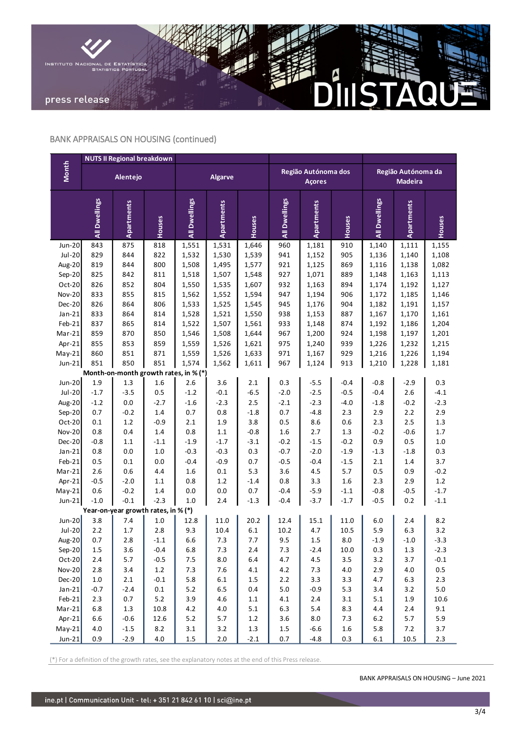

# BANK APPRAISALS ON HOUSING (continued)

|                                       | <b>NUTS II Regional breakdown</b> |                   |            |                |                |                |                                      |                   |            |                                      |                |                |
|---------------------------------------|-----------------------------------|-------------------|------------|----------------|----------------|----------------|--------------------------------------|-------------------|------------|--------------------------------------|----------------|----------------|
| Month                                 |                                   | Alentejo          |            | <b>Algarve</b> |                |                | Região Autónoma dos<br><b>Açores</b> |                   |            | Região Autónoma da<br><b>Madeira</b> |                |                |
|                                       | All Dwellings                     | <b>Apartments</b> | Houses     | All Dwellings  | Apartments     | Houses         | All Dwellings                        | <b>Apartments</b> | Houses     | All Dwellings                        | Apartments     | Houses         |
| <b>Jun-20</b>                         | 843                               | 875               | 818        | 1,551          | 1,531          | 1,646          | 960                                  | 1,181             | 910        | 1,140                                | 1,111          | 1,155          |
| $Jul-20$                              | 829                               | 844               | 822        | 1,532          | 1,530          | 1,539          | 941                                  | 1,152             | 905        | 1,136                                | 1,140          | 1,108          |
| Aug-20                                | 819                               | 844               | 800        | 1,508          | 1,495          | 1,577          | 921                                  | 1,125             | 869        | 1,116                                | 1,138          | 1,082          |
| Sep-20                                | 825                               | 842               | 811        | 1,518          | 1,507          | 1,548          | 927                                  | 1,071             | 889        | 1,148                                | 1,163          | 1,113          |
| Oct-20                                | 826                               | 852               | 804        | 1,550          | 1,535          | 1,607          | 932                                  | 1,163             | 894        | 1,174                                | 1,192          | 1,127          |
| <b>Nov-20</b>                         | 833                               | 855               | 815        | 1,562          | 1,552          | 1,594          | 947                                  | 1,194             | 906        | 1,172                                | 1,185          | 1,146          |
| Dec-20                                | 826                               | 864               | 806        | 1,533          | 1,525          | 1,545          | 945                                  | 1,176             | 904        | 1,182                                | 1,191          | 1,157          |
| $Jan-21$                              | 833                               | 864               | 814        | 1,528          | 1,521          | 1,550          | 938                                  | 1,153             | 887        | 1,167                                | 1,170          | 1,161          |
| Feb-21<br>Mar-21                      | 837<br>859                        | 865<br>870        | 814<br>850 | 1,522<br>1,546 | 1,507<br>1,508 | 1,561<br>1,644 | 933<br>967                           | 1,148<br>1,200    | 874<br>924 | 1,192                                | 1,186          | 1,204<br>1,201 |
| Apr-21                                | 855                               | 853               | 859        | 1,559          | 1,526          | 1,621          | 975                                  | 1,240             | 939        | 1,198<br>1,226                       | 1,197<br>1,232 | 1,215          |
| $May-21$                              | 860                               | 851               | 871        | 1,559          | 1,526          | 1,633          | 971                                  | 1,167             | 929        | 1,216                                | 1,226          | 1,194          |
| $Jun-21$                              | 851                               | 850               | 851        | 1,574          | 1,562          | 1,611          | 967                                  | 1,124             | 913        | 1,210                                | 1,228          | 1,181          |
| Month-on-month growth rates, in % (*) |                                   |                   |            |                |                |                |                                      |                   |            |                                      |                |                |
| <b>Jun-20</b>                         | 1.9                               | 1.3               | 1.6        | 2.6            | 3.6            | 2.1            | 0.3                                  | $-5.5$            | $-0.4$     | $-0.8$                               | $-2.9$         | 0.3            |
| $Jul-20$                              | $-1.7$                            | $-3.5$            | 0.5        | $-1.2$         | $-0.1$         | $-6.5$         | $-2.0$                               | $-2.5$            | $-0.5$     | $-0.4$                               | 2.6            | $-4.1$         |
| Aug-20                                | $-1.2$                            | $0.0\,$           | $-2.7$     | $-1.6$         | $-2.3$         | 2.5            | $-2.1$                               | $-2.3$            | $-4.0$     | $-1.8$                               | $-0.2$         | $-2.3$         |
| Sep-20                                | 0.7                               | $-0.2$            | 1.4        | 0.7            | 0.8            | $-1.8$         | 0.7                                  | $-4.8$            | 2.3        | 2.9                                  | 2.2            | 2.9            |
| Oct-20                                | 0.1                               | 1.2               | $-0.9$     | 2.1            | 1.9            | 3.8            | 0.5                                  | 8.6               | 0.6        | 2.3                                  | 2.5            | 1.3            |
| <b>Nov-20</b>                         | 0.8                               | 0.4               | 1.4        | 0.8            | 1.1            | $-0.8$         | 1.6                                  | 2.7               | 1.3        | $-0.2$                               | $-0.6$         | $1.7\,$        |
| Dec-20                                | $-0.8$                            | 1.1               | $-1.1$     | $-1.9$         | $-1.7$         | $-3.1$         | $-0.2$                               | $-1.5$            | $-0.2$     | 0.9                                  | 0.5            | $1.0\,$        |
| $Jan-21$                              | 0.8                               | $0.0\,$           | 1.0        | $-0.3$         | $-0.3$         | 0.3            | $-0.7$                               | $-2.0$            | $-1.9$     | $-1.3$                               | $-1.8$         | 0.3            |
| Feb-21                                | 0.5                               | $0.1\,$           | 0.0        | $-0.4$         | $-0.9$         | 0.7            | $-0.5$                               | $-0.4$            | $-1.5$     | 2.1                                  | 1.4            | 3.7            |
| Mar-21                                | 2.6                               | 0.6               | 4.4        | 1.6            | $0.1\,$        | 5.3            | 3.6                                  | 4.5               | 5.7        | 0.5                                  | 0.9            | $-0.2$         |
| Apr-21                                | $-0.5$                            | $-2.0$            | 1.1        | 0.8            | 1.2            | $-1.4$         | 0.8                                  | 3.3               | 1.6        | 2.3                                  | 2.9            | 1.2            |
| $May-21$                              | 0.6                               | $-0.2$            | 1.4        | 0.0            | 0.0            | 0.7            | $-0.4$                               | $-5.9$            | $-1.1$     | $-0.8$                               | $-0.5$         | $-1.7$         |
| $Jun-21$                              | $-1.0$                            | $-0.1$            | $-2.3$     | $1.0\,$        | 2.4            | $-1.3$         | $-0.4$                               | $-3.7$            | $-1.7$     | $-0.5$                               | 0.2            | $-1.1$         |
| Year-on-year growth rates, in % (*)   |                                   |                   |            |                |                |                |                                      |                   |            |                                      |                |                |
| Jun-20                                | 3.8                               | 7.4               | 1.0        | 12.8           | 11.0           | 20.2           | 12.4                                 | 15.1              | 11.0       | 6.0                                  | 2.4            | 8.2            |
| $Jul-20$                              | 2.2                               | 1.7               | 2.8        | 9.3            | 10.4           | 6.1            | 10.2                                 | 4.7               | 10.5       | 5.9                                  | 6.3            | 3.2            |
| Aug-20                                | 0.7                               | 2.8               | $-1.1$     | 6.6            | 7.3            | 7.7            | 9.5                                  | $1.5\,$           | 0.8        | $-1.9$                               | $-1.0$         | $-3.3$         |
| $Sep-20$                              | 1.5                               | 3.6               | $-0.4$     | 6.8            | 7.3            | $2.4$          | 7.3                                  | $-2.4$            | 10.0       | 0.3                                  | 1.3            | $-2.3$         |
| $Oct-20$                              | $2.4$                             | 5.7               | $-0.5$     | $7.5\,$        | 8.0            | $6.4\,$        | 4.7                                  | 4.5               | 3.5        | 3.2                                  | 3.7            | $-0.1$         |
| $Nov-20$                              | 2.8                               | $3.4$             | $1.2\,$    | $7.3$          | 7.6            | $4.1\,$        | $4.2\,$                              | 7.3               | $4.0\,$    | 2.9                                  | 4.0            | $0.5\,$        |
| Dec-20                                | $1.0\,$                           | $2.1\,$           | $-0.1$     | 5.8            | $6.1\,$        | $1.5\,$        | $2.2\,$                              | 3.3               | 3.3        | 4.7                                  | 6.3            | 2.3            |
| $Jan-21$                              | $-0.7$                            | $-2.4$            | $0.1\,$    | $5.2$          | 6.5            | $0.4\,$        | $5.0\,$                              | $-0.9$            | 5.3        | 3.4                                  | 3.2            | $5.0\,$        |
| Feb-21                                | 2.3                               | 0.7               | $5.2$      | 3.9            | 4.6            | $1.1\,$        | $4.1\,$                              | $2.4\,$           | 3.1        | 5.1                                  | $1.9\,$        | 10.6           |
| $Mar-21$                              | 6.8                               | $1.3\,$           | 10.8       | $4.2\,$        | $4.0\,$        | $5.1$          | 6.3                                  | 5.4               | 8.3        | 4.4                                  | $2.4\,$        | 9.1            |
| Apr-21                                | 6.6                               | $-0.6$            | 12.6       | $5.2\,$        | $5.7\,$        | $1.2\,$        | 3.6                                  | 8.0               | 7.3        | $6.2\,$                              | $5.7\,$        | 5.9            |
| $May-21$                              | $4.0\,$                           | $-1.5$            | 8.2        | $3.1\,$        | 3.2            | $1.3\,$        | $1.5\,$                              | $-6.6$            | $1.6\,$    | 5.8                                  | 7.2            | 3.7            |
| $Jun-21$                              | 0.9                               | $-2.9$            | 4.0        | $1.5\,$        | $2.0\,$        | $-2.1$         | 0.7                                  | $-4.8$            | 0.3        | $6.1\,$                              | 10.5           | 2.3            |

(\*) For a definition of the growth rates, see the explanatory notes at the end of this Press release.

BANK APPRAISALS ON HOUSING – June 2021